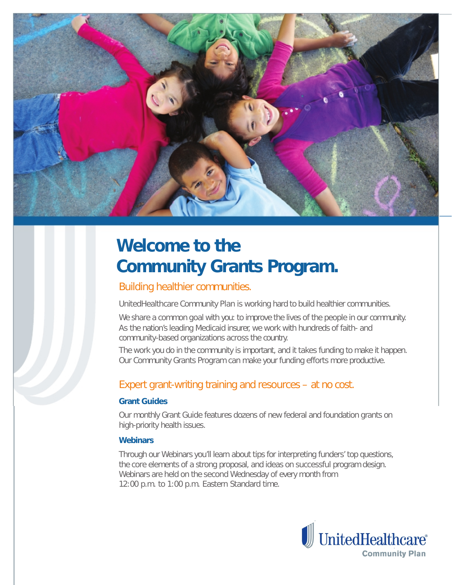

# **Welcome to the Community Grants Program.**

### Building healthier communities.

UnitedHealthcare Community Plan is working hard to build healthier communities.

We share a common goal with you: to improve the lives of the people in our community. As the nation's leading Medicaid insurer, we work with hundreds of faith- and community-based organizations across the country.

The work you do in the community is important, and it takes funding to make it happen. Our Community Grants Program can make your funding efforts more productive.

## Expert grant-writing training and resources – at no cost.

#### **Grant Guides**

Our monthly Grant Guide features dozens of new federal and foundation grants on high-priority health issues.

#### **Webinars**

Through our Webinars you'll learn about tips for interpreting funders' top questions, the core elements of a strong proposal, and ideas on successful program design. Webinars are held on the second Wednesday of every month from 12:00 p.m. to 1:00 p.m. Eastern Standard time.